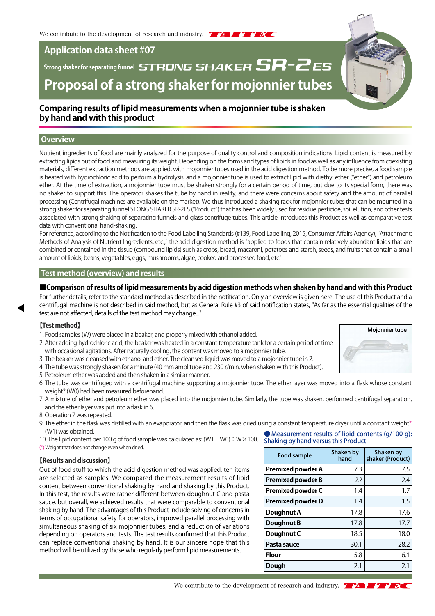# **Application data sheet #07**

# Strong shaker for separating funnel<br> **Strong shaker for separating funnel**<br> **STRONG SHAKER SR-2ES Proposal of a strong shaker for mojonnier tubes**

## **Comparing results of lipid measurements when a mojonnier tube is shaken by hand and with this product**

## **Overview**

Nutrient ingredients of food are mainly analyzed for the purpose of quality control and composition indications. Lipid content is measured by extracting lipids out of food and measuring its weight. Depending on the forms and types of lipids in food as well as any influence from coexisting materials, different extraction methods are applied, with mojonnier tubes used in the acid digestion method. To be more precise, a food sample is heated with hydrochloric acid to perform a hydrolysis, and a mojonnier tube is used to extract lipid with diethyl ether ("ether") and petroleum ether. At the time of extraction, a mojonnier tube must be shaken strongly for a certain period of time, but due to its special form, there was no shaker to support this. The operator shakes the tube by hand in reality, and there were concerns about safety and the amount of parallel processing (Centrifugal machines are available on the market). We thus introduced a shaking rack for mojonnier tubes that can be mounted in a strong shaker for separating funnel STONG SHAKER SR-2ES ("Product") that has been widely used for residue pesticide, soil elution, and other tests associated with strong shaking of separating funnels and glass centrifuge tubes. This article introduces this Product as well as comparative test data with conventional hand-shaking.

For reference, according to the Notification to the Food Labelling Standards (#139, Food Labelling, 2015, Consumer Affairs Agency), "Attachment: Methods of Analysis of Nutrient Ingredients, etc.," the acid digestion method is "applied to foods that contain relatively abundant lipids that are combined or contained in the tissue (compound lipids) such as crops, bread, macaroni, potatoes and starch, seeds, and fruits that contain a small amount of lipids, beans, vegetables, eggs, mushrooms, algae, cooked and processed food, etc."

## **Test method (overview) and results**

#### **■Comparison of results of lipid measurements by acid digestion methods when shaken by hand and with this Product**

For further details, refer to the standard method as described in the notification. Only an overview is given here. The use of this Product and a centrifugal machine is not described in said method, but as General Rule #3 of said notification states, "As far as the essential qualities of the test are not affected, details of the test method may change..."

#### **【Test method】**

- 1. Food samples (W) were placed in a beaker, and properly mixed with ethanol added.
- 2. After adding hydrochloric acid, the beaker was heated in a constant temperature tank for a certain period of time with occasional agitations. After naturally cooling, the content was moved to a mojonnier tube.
- 3. The beaker was cleansed with ethanol and ether. The cleansed liquid was moved to a mojonnier tube in 2.
- 4. The tube was strongly shaken for a minute (40 mm amplitude and 230 r/min. when shaken with this Product).
- 5. Petroleum ether was added and then shaken in a similar manner.
- 6. The tube was centrifuged with a centrifugal machine supporting a mojonnier tube. The ether layer was moved into a flask whose constant weight\* (W0) had been measured beforehand.
- 7. A mixture of ether and petroleum ether was placed into the mojonnier tube. Similarly, the tube was shaken, performed centrifugal separation, and the ether layer was put into a flask in 6.
- 8. Operation 7 was repeated.
- 9. The ether in the flask was distilled with an evaporator, and then the flask was dried using a constant temperature dryer until a constant weight\* (W1) was obtained.
- 10. The lipid content per 100 g of food sample was calculated as:  $(W1-W0) \div W \times 100$ . (\*) Weight that does not change even when dried.

#### **【Results and discussion】**

Out of food stuff to which the acid digestion method was applied, ten items are selected as samples. We compared the measurement results of lipid content between conventional shaking by hand and shaking by this Product. In this test, the results were rather different between doughnut C and pasta sauce, but overall, we achieved results that were comparable to conventional shaking by hand. The advantages of this Product include solving of concerns in terms of occupational safety for operators, improved parallel processing with simultaneous shaking of six mojonnier tubes, and a reduction of variations depending on operators and tests. The test results confirmed that this Product can replace conventional shaking by hand. It is our sincere hope that this method will be utilized by those who regularly perform lipid measurements.

● Measurement results of lipid contents (g/100 g): Shaking by hand versus this Product

| Food sample              | Shaken by<br>hand | Shaken by<br>shaker (Product) |
|--------------------------|-------------------|-------------------------------|
| <b>Premixed powder A</b> | 7.3               | 7.5                           |
| <b>Premixed powder B</b> | 2.2               | 2.4                           |
| <b>Premixed powder C</b> | 1.4               | 1.7                           |
| <b>Premixed powder D</b> | 1.4               | $1.5\,$                       |
| Doughnut A               | 17.8              | 17.6                          |
| Doughnut B               | 17.8              | 17.7                          |
| Doughnut C               | 18.5              | 18.0                          |
| Pasta sauce              | 30.1              | 28.2                          |
| <b>Flour</b>             | 5.8               | 6.1                           |
| Dough                    | 2.1               | 2.1                           |